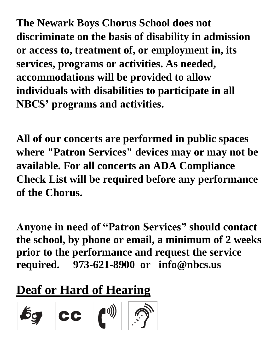**The Newark Boys Chorus School does not discriminate on the basis of disability in admission or access to, treatment of, or employment in, its services, programs or activities. As needed, accommodations will be provided to allow individuals with disabilities to participate in all NBCS' programs and activities.**

**All of our concerts are performed in public spaces where "Patron Services" devices may or may not be available. For all concerts an ADA Compliance Check List will be required before any performance of the Chorus.** 

**Anyone in need of "Patron Services" should contact the school, by phone or email, a minimum of 2 weeks prior to the performance and request the service required. 973-621-8900 or info@nbcs.us**

## **Deaf or Hard of Hearing**

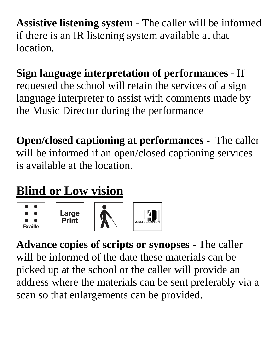**Assistive listening system -** The caller will be informed if there is an IR listening system available at that location.

## **Sign language interpretation of performances** - If requested the school will retain the services of a sign language interpreter to assist with comments made by

the Music Director during the performance

**Open/closed captioning at performances** - The caller will be informed if an open/closed captioning services is available at the location.

## **Blind or Low vision**



**Advance copies of scripts or synopses** - The caller will be informed of the date these materials can be picked up at the school or the caller will provide an address where the materials can be sent preferably via a scan so that enlargements can be provided.